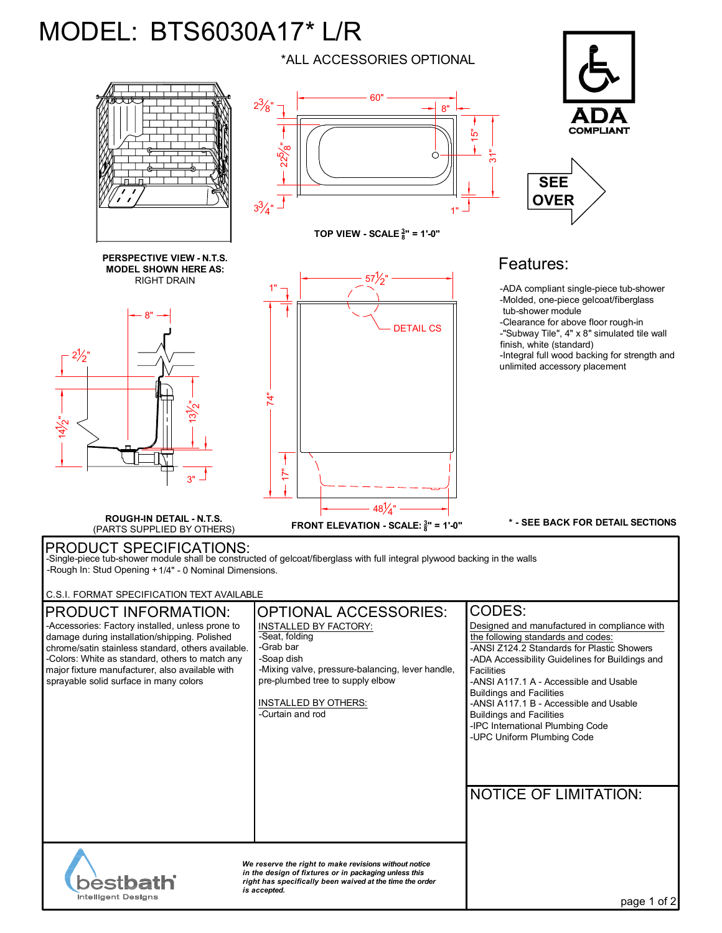## MODEL: BTS6030A17\* L/R \*ALL ACCESSORIES OPTIONAL



PRODUCT SPECIFICATIONS: -Single-piece tub-shower module shall be constructed of gelcoat/fiberglass with full integral plywood backing in the walls -Rough In: Stud Opening +1/4" - 0 Nominal Dimensions.

C.S.I. FORMAT SPECIFICATION TEXT AVAILABLE

| <b>IPRODUCT INFORMATION:</b>                                                                                                                                                                                  | <b>OPTIONAL ACCESSORIES:</b>                                                                       | CODES:                                                                                                                                           |
|---------------------------------------------------------------------------------------------------------------------------------------------------------------------------------------------------------------|----------------------------------------------------------------------------------------------------|--------------------------------------------------------------------------------------------------------------------------------------------------|
| -Accessories: Factory installed, unless prone to<br>damage during installation/shipping. Polished<br>chrome/satin stainless standard, others available.                                                       | <b>INSTALLED BY FACTORY:</b><br>-Seat, folding<br>-Grab bar                                        | Designed and manufactured in compliance with<br>the following standards and codes:<br>-ANSI Z124.2 Standards for Plastic Showers                 |
| -Colors: White as standard, others to match any<br>major fixture manufacturer, also available with<br>sprayable solid surface in many colors                                                                  | -Soap dish<br>-Mixing valve, pressure-balancing, lever handle,<br>pre-plumbed tree to supply elbow | -ADA Accessibility Guidelines for Buildings and<br><b>Facilities</b><br>-ANSI A117.1 A - Accessible and Usable                                   |
|                                                                                                                                                                                                               | INSTALLED BY OTHERS:<br>-Curtain and rod                                                           | <b>Buildings and Facilities</b><br>-ANSI A117.1 B - Accessible and Usable<br><b>Buildings and Facilities</b><br>-IPC International Plumbing Code |
|                                                                                                                                                                                                               |                                                                                                    | -UPC Uniform Plumbing Code                                                                                                                       |
|                                                                                                                                                                                                               |                                                                                                    | <b>NOTICE OF LIMITATION:</b>                                                                                                                     |
|                                                                                                                                                                                                               |                                                                                                    |                                                                                                                                                  |
| We reserve the right to make revisions without notice<br>in the design of fixtures or in packaging unless this<br><b>bestbath</b><br>right has specifically been waived at the time the order<br>is accepted. |                                                                                                    |                                                                                                                                                  |
| <b>Intelligent Designs</b>                                                                                                                                                                                    |                                                                                                    | page 1 of 2                                                                                                                                      |